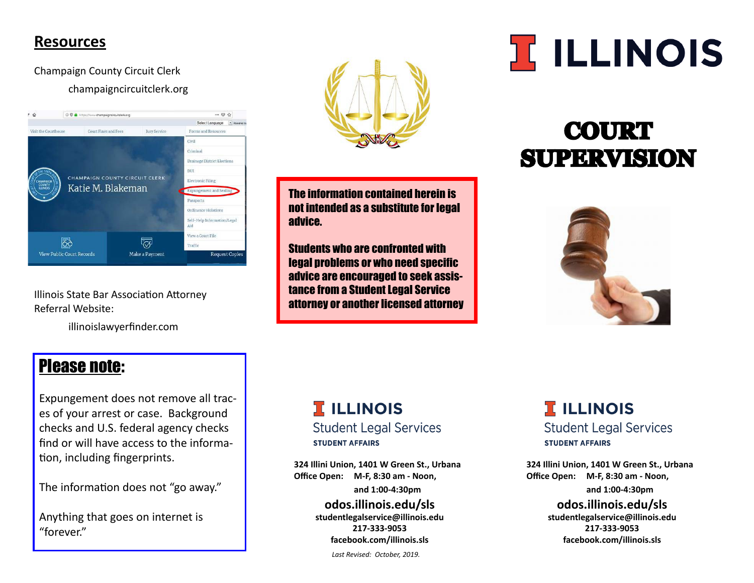### **Resources**

Champaign County Circuit Clerk champaigncircuitclerk.org



Illinois State Bar Association Attorney Referral Website:

illinoislawyerfinder.com



The information contained herein is not intended as a substitute for legal advice.

Students who are confronted with legal problems or who need specific advice are encouraged to seek assistance from a Student Legal Service attorney or another licensed attorney

# **I ILLINOIS**

# **COURT SUPERVISION**



# Please note:

Expungement does not remove all traces of your arrest or case. Background checks and U.S. federal agency checks find or will have access to the information, including fingerprints.

The information does not "go away."

Anything that goes on internet is "forever."

# **TELLINOIS**

**Student Legal Services STUDENT AFFAIRS** 

**324 Illini Union, 1401 W Green St., Urbana Office Open: M-F, 8:30 am - Noon, and 1:00-4:30pm**

**odos.illinois.edu/sls studentlegalservice@illinois.edu 217-333-9053 facebook.com/illinois.sls**

**TELLINOIS** 

**Student Legal Services STUDENT AFFAIRS** 

**324 Illini Union, 1401 W Green St., Urbana Office Open: M-F, 8:30 am - Noon, and 1:00-4:30pm**

> **odos.illinois.edu/sls studentlegalservice@illinois.edu 217-333-9053 facebook.com/illinois.sls**

*Last Revised: October, 2019.*